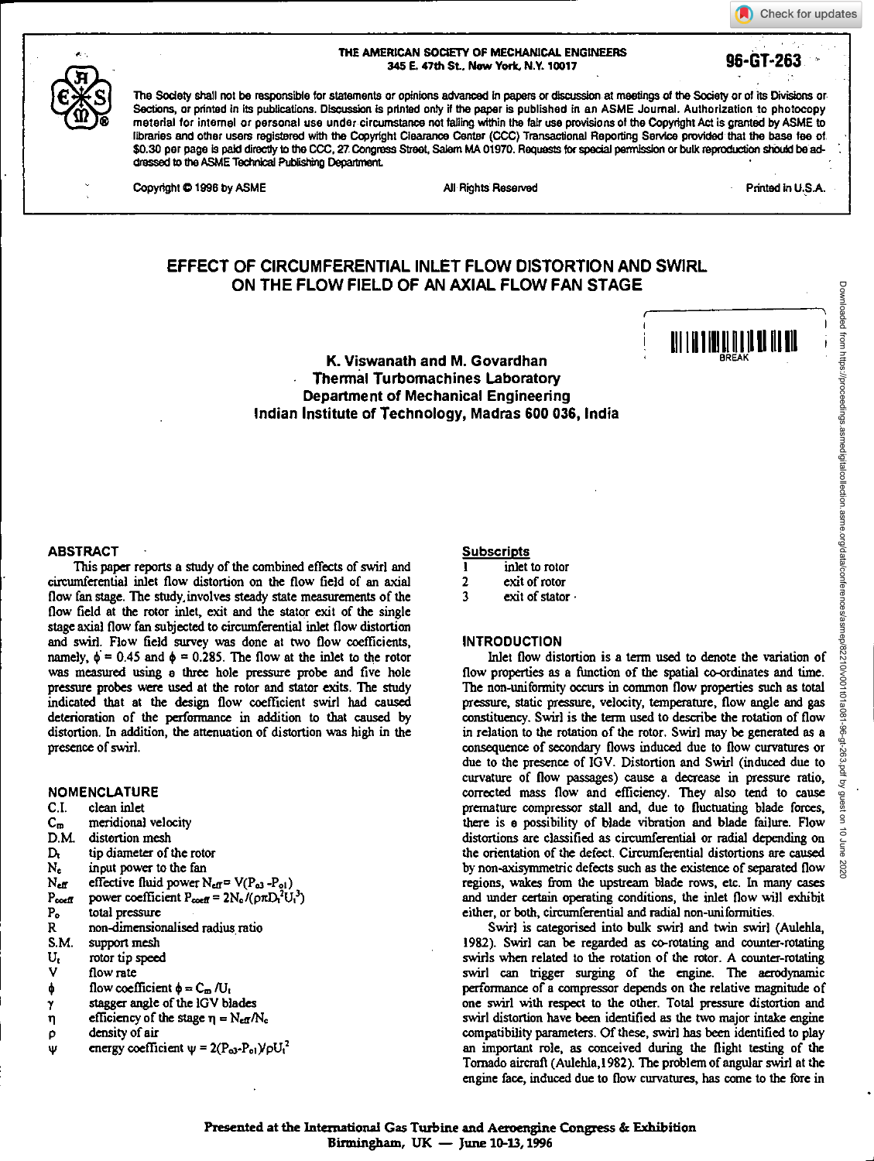### THE AMERICAN SOCIETY OF MECHANICAL ENGINEERS 345 E. 47th St, New York, N.Y. 10017 **96-GT-263**

The Society shall not be responsible for statements or opinions advanced in papers or discussion at meetings of the Society or of its Divisions or Sections, or printed in its publications. Discussion is printed only if the paper is published in an ASME Journal. Authorization to photocopy material for internal or personal use under circumstance not tailing within the fair use provisions of the Copyright Act is granted by ASME to libraries and other users registered with the Copyright Clearance Center (CCC) Transactional Reporting Service provided that the base fee of \$0.30 per page is paid directly to the CCC, 27 Congress Street, Salem MA 01970. Requests for special permission or bulk reproduction should be addressed to the ASME Technical Publishing Department.

Check for updates

111 | 11**1 | 111 | 111 | 11** 

# **EFFECT OF CIRCUMFERENTIAL INLET FLOW DISTORTION AND SWIRL ON THE FLOW FIELD OF AN AXIAL FLOW FAN STAGE**

**K. Viswanath and M. Govardhan Thermal Turbomachines Laboratory Department of Mechanical Engineering Indian Institute of Technology, Madras 600 036, India** 

#### **ABSTRACT**

**This paper reports a study of the combined effects of swirl and circumferential inlet flow distortion on the flow field of an axial flow fan stage. The study, involves steady state measurements of the flow field at the rotor inlet, exit and the stator exit of the single stage axial flow fan subjected to circumferential inlet flow distortion and swirl. Flow field survey was done at two flow coefficients,**  namely,  $\phi = 0.45$  and  $\phi = 0.285$ . The flow at the inlet to the rotor **was measured using a three hole pressure probe and five hole pressure probes were used at the rotor and stator exits. The study indicated that at the design flow coefficient swirl had caused deterioration of the performance in addition to that caused by distortion. In addition, the attenuation of distortion** was **high in the presence of swirl.** 

# **NOMENCLATURE**

- **C.I. clean inlet**
- C<sub>m</sub> meridional velocity<br>D.M. distortion mesh
- 
- **D.M. distortion mesh**  D<sub>t</sub> tip diameter of the rotor<br>
N<sub>c</sub> input power to the fan
- **Ng input power to the fan**
- $N_{\text{eff}}$  effective fluid power  $N_{\text{eff}} = V(P_{03} P_{01})$
- $P_{\text{coeff}}$  power coefficient  $P_{\text{coeff}} = 2N_{\text{e}}/(\rho \pi D_{\text{i}}^2 U_{\text{i}}^3)$ <br>  $P_{\text{o}}$  total pressure
- **Po total pressure**
- **R non-dimensionalised radius ratio**
- 
- **S.M. support mesh**   $U_t$  rotor tip speed<br> **v** flow rate
- flow rate
- $\phi$  flow coefficient  $\phi = C_m/U_t$
- **stagger angle of the IGV blades**  γ
- $\eta$  efficiency of the stage  $\eta = N_{\text{eff}}/N_{\text{c}}$
- **p density of air**
- **energy coefficient**  $\psi = 2(P_{03}-P_{01})/\rho U_t^2$

#### **Subscripts**

- **inlet to rotor**  1
- **2 exit of rotor**
- **3 exit of stator**

## **INTRODUCTION**

**Inlet flow distortion is a term used to denote the variation of flow properties as a fimction of the spatial co-ordinates and time. The non-uniformity occurs in common flow properties such as total pressure, static pressure, velocity, temperature, flow angle and gas constituency. Swirl is the term used to describe the rotation of flow in relation to the rotation of the rotor. Swirl may be generated** as a **consequence of secondary flows induced due to flow curvatures or due to the presence of IGV. Distortion and Swirl (induced due to curvature of flow paccages) cause a decrease in pressure ratio, corrected mass flow and efficiency. They also tend to cause premature compressor stall and, due to fluctuating blade forces, there is a possibility of blade vibration and blade failure. Flow distortions are classified as circumferential or radial depending on the orientation of the defect. Circumferential distortions are caused by non-axisymmetric defects such as the existence of separated flow regions, wakes from the upstream blade rows, etc. In many cases and under certain operating conditions, the inlet flow will exhibit either, or both, circumferential and radial non-uniformities.** 

**Swirl is categorised into bulk swirl and twin swirl (Aulehla, 1982). Swirl can be regarded as co-rotating and counter-rotating swirls when related to the rotation of the rotor. A counter-rotating swirl can trigger surging of the engine. The aerodynamic performance of a compressor depends on the relative magnitude of one swirl with respect to the other. Total pressure distortion and swirl distortion have been identified as the two major intake engine compatibility parameters. Of these, swirl has been identified to play an important role, as conceived during the flight testing of the Tornado aircraft (Aulehla,1982). The problem of angular swirl at the engine face, induced due to flow curvatures, has come to the fore in**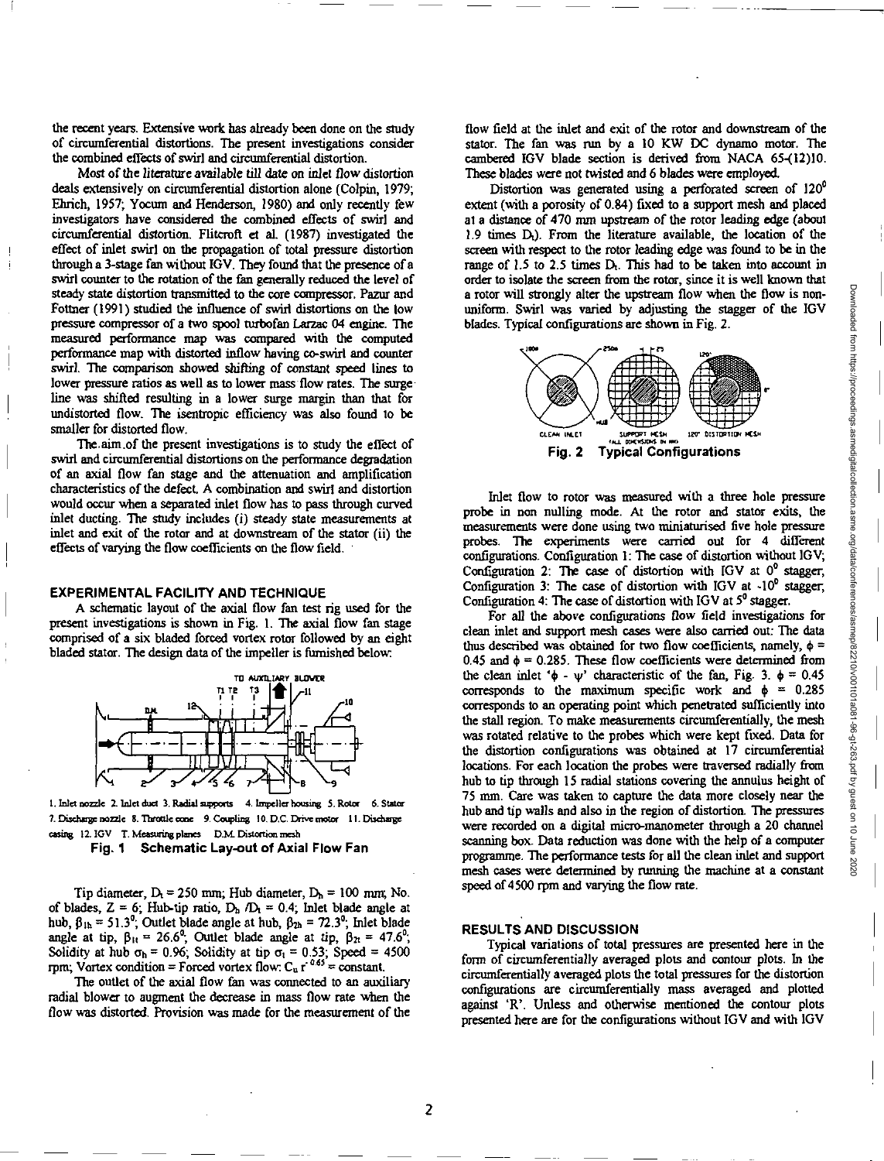the recent years. Extensive work has already been done on the study of circumferential distortions. The present investigations consider the combined effects of swirl and circumferential distortion.

Most of the literature available till date on inlet flow distortion deals extensively on circumferential distortion alone (Colpin, 1979; Ehrich, 1957; Yocum and Henderson, 1980) and only recently few investigators have considered the combined effects of swirl and circumferential distortion. Flitcroft et al. (1987) investigated the effect of inlet swirl on the propagation of total pressure distortion through a 3-stage fan without IGV. They found that the presence of a swirl counter to the rotation of the fan generally reduced the level of steady state distortion transmitted to the core compressor. Pazur and Fottner (1991) studied the influence of swirl distortions on the low pressure compressor of a two spool turbofan Larzac 04 engine. The measured performance map was compared with the computed performance map with distorted inflow having co-swirl and counter swirl. The comparison showed shifting of constant speed lines to lower pressure ratios as well as to lower mass flow rates. The surgeline was shifted resulting in a lower surge margin than that for undistorted flow. The isentropic efficiency was also found to be smaller for distorted flow.

The. aim .of the present investigations is to study the effect of swirl and circumferential distortions on the performance degradation of an axial flow fan stage and the attenuation and amplification characteristics of the defect. A combination and swirl and distortion would occur when a separated inlet flow has to pass through curved inlet ducting. The study includes (i) steady state measurements at inlet and exit of the rotor and at downstream of the stator (ii) the effects of varying the flow coefficients on the flow field. •

## **EXPERIMENTAL FACILITY AND TECHNIQUE**

A schematic layout of the axial flow fan test rig used for the present investigations is shown in Fig. I. The axial flow fan stage comprised of a six bladed forced vortex rotor followed by an eight bladed stator. The design data of the impeller is furnished below



1. Inlet nozzle 2. Inlet duct 3. Radial supports 4. Impeller housing 5. Rotor 6. Stator 7. Dischage nozzle 8. Throttle cone 9. Coupling 10. D.C. Drive motor 11. Duane easing 12. 1GV T. Measuring planes D.M\_ Distortion mesh

**Fig. 1 Schematic Lay-out of Axial Flow Fan** 

Tip diameter,  $D_1 = 250$  mm; Hub diameter,  $D_n = 100$  mm; No. of blades,  $Z = 6$ ; Hub-tip ratio,  $D_h / D_t = 0.4$ ; Inlet blade angle at hub,  $\beta_{1h} = 51.3^{\circ}$ , Outlet blade angle at hub,  $\beta_{2h} = 72.3^{\circ}$ , Inlet blade angle at tip,  $\beta_{1t} = 26.6^{\circ}$ , Outlet blade angle at tip,  $\beta_{2t} = 47.6^{\circ}$ ; Solidity at hub  $\sigma_h = 0.96$ ; Solidity at tip  $\sigma_t = 0.53$ ; Speed = 4500 rpm; Vortex condition = Forced vortex flow:  $C_u$  r<sup>-0.63</sup> = constant.

The outlet of the axial flow fan was connected to an auxiliary radial blower to augment the decrease in mass flow rate when the flow was distorted. Provision was made for the measurement of the flow field at the inlet and exit of the rotor and downstream of the stator. The fan was run by a 10 KW DC dynamo motor. The cambered IGV blade section is derived from NACA 65-(12)10. These blades were not *twisted and* 6 blades were employed.

Distortion was generated using a perforated screen of 120° extent (with a porosity of 0.84) fixed to a support mesh and placed at a distance of 470 mm upstream of the rotor leading edge (about 1.9 times D<sub>t</sub>). From the literature available, the location of the screen with respect to the rotor leading edge was found to be in the range of  $1.5$  to  $2.5$  times  $D<sub>t</sub>$ . This had to be taken into account in order to isolate the screen from the rotor, since it is well known that a rotor will strongly alter the upstream flow when the flow is nonuniform. Swirl was varied by adjusting the stagger of the IGV blades. Typical configurations are shown in Fig. 2.



Inlet flow to rotor was measured with a three hole pressure probe in non nulling mode. At the rotor and stator exits, the measurements were done using two miniaturised five hole pressure probes. The experiments were carried out for 4 different configurations. Configuration 1: The case of distortion without IGV; Configuration 2: The case of distortion with IGV at  $0^0$  stagger, Configuration 3: The case of distortion with IGV at  $-10^{\circ}$  stagger, Configuration 4: The case of distortion with IGV at  $5^{\circ}$  stagger.

For *all the above configurations flow field investigations for*  clean inlet and support mesh cases were also carried out: The data thus described was obtained for two flow coefficients, namely,  $\phi$  = 0.45 and  $\phi$  = 0.285. These flow coefficients were determined from the clean inlet  $\phi - \psi$  characteristic of the fan, Fig. 3.  $\phi = 0.45$ corresponds to the maximum specific work and  $\phi = 0.285$ corresponds to an operating point which penetrated sufficiently into the stall region. To make measurements circumferentially, the mesh was rotated relative to the probes which were kept fixed. Data for the distortion configurations was obtained at 17 circumferential locations. For each location the probes were traversed radially from hub to tip through 15 radial stations covering the annulus height of 75 mm. Care was taken to capture the data more closely near the hub and tip walls and also in the region of distortion. The pressures were recorded on a digital micro-manometer through a 20 channel scanning box. Data reduction was done with the help of a computer programme. The performance tests for all the clean inlet and support mesh cases were determined by running the machine at a constant speed of 4500 rpm and varying the flow rate.

#### **RESULTS AND DISCUSSION**

Typical variations of total pressures are presented here in the fonn of *circumferentially* averaged plots and contour plots. In the circumferentially averaged plots the total pressures for the distortion configurations are circumferentially mass averaged and plotted against 'R'. Unless and otherwise mentioned the contour plots presented here are for the configurations without IGV and with IGV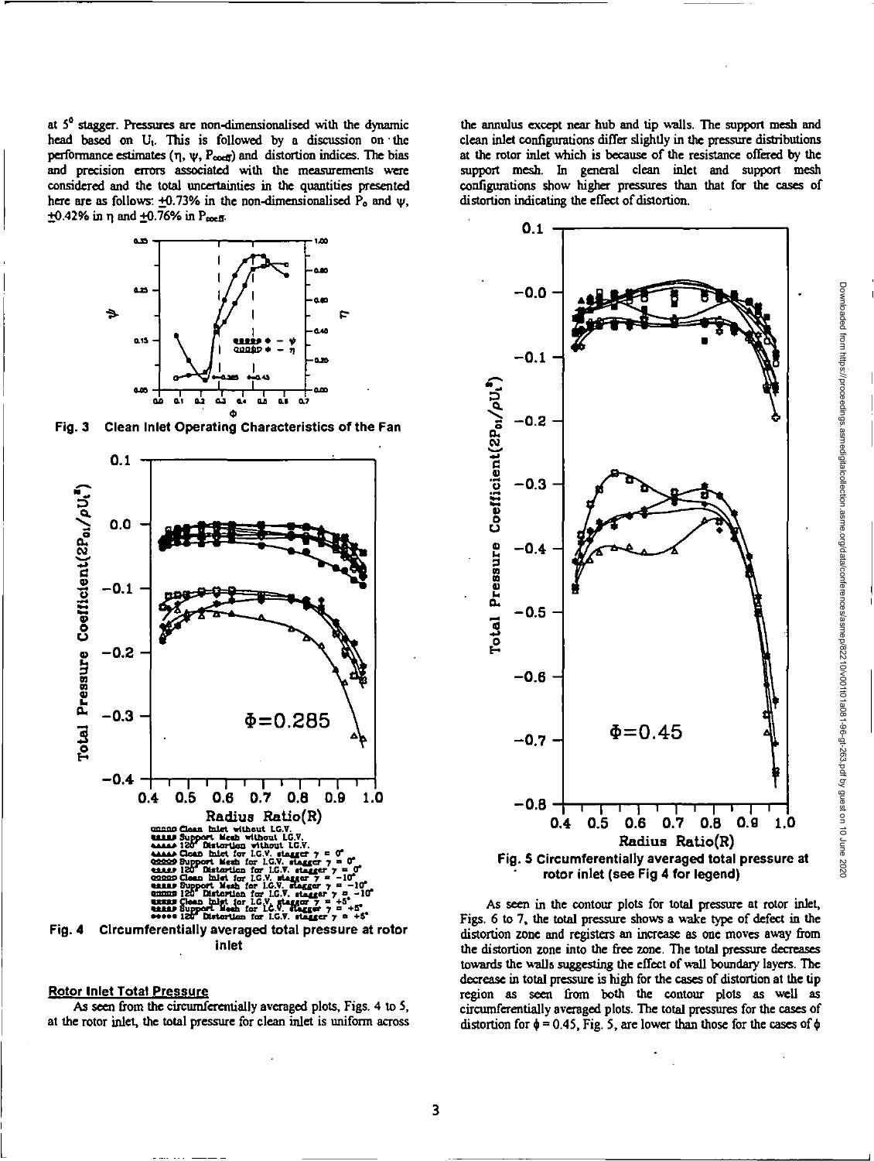at  $5^\circ$  stagger. Pressures are non-dimensionalised with the dynamic head based on U<sub>1</sub>. This is followed by a discussion on the performance estimates  $(\eta, \psi, P_{\text{coeff}})$  and distortion indices. The bias and precision errors associated with the measurements were considered and the total uncertainties in the quantities presented here are as follows:  $\pm 0.73\%$  in the non-dimensionalised  $\overline{P}_0$  and  $\psi$ ,  $+0.42\%$  in n and  $+0.76\%$  in P<sub>roeff</sub>.



Fig. 3 Clean Inlet Operating Characteristics of the Fan



## Rotor Inlet Total Pressure

As seen from the circumferentially averaged plots, Figs. 4 to 5, at the rotor inlet, the total pressure for clean inlet is uniform across the annulus except near hub and tip walls. The support mesh and clean inlet configurations differ slightly in the pressure distributions at the rotor inlet which is because of the resistance offered by the support mesh. In general clean inlet and support mesh configurations show higher pressures than that for the cases of distortion indicating the effect of distortion.



As seen in the contour plots for total pressure at rotor inlet, Figs. 6 to 7, the total pressure shows a wake type of defect in the distortion zone and registers an increase as one moves away from the distortion zone into the free zone. The total pressure decreases towards the walls suggesting the effect of wall boundary layers. The decrease in total pressure is high for the cases of distortion at the tip region as seen from both the contour plots as well as circumferentially averaged plots. The total pressures for the cases of distortion for  $\phi = 0.45$ , Fig. 5, are lower than those for the cases of  $\phi$ 

Downloaded from https://proceedings.asmedigitalcollection.asme.org/data/conferences/asmep/82210/v001101a081-96-gt-263.pdf by guest on 10 June 2020 Downloaded from https://proceedings.asmedigitalcollection.asme.org/data/conferences/asmep/82210/v001t01a081-96-gt-263.pdf by guest on 10 June 2020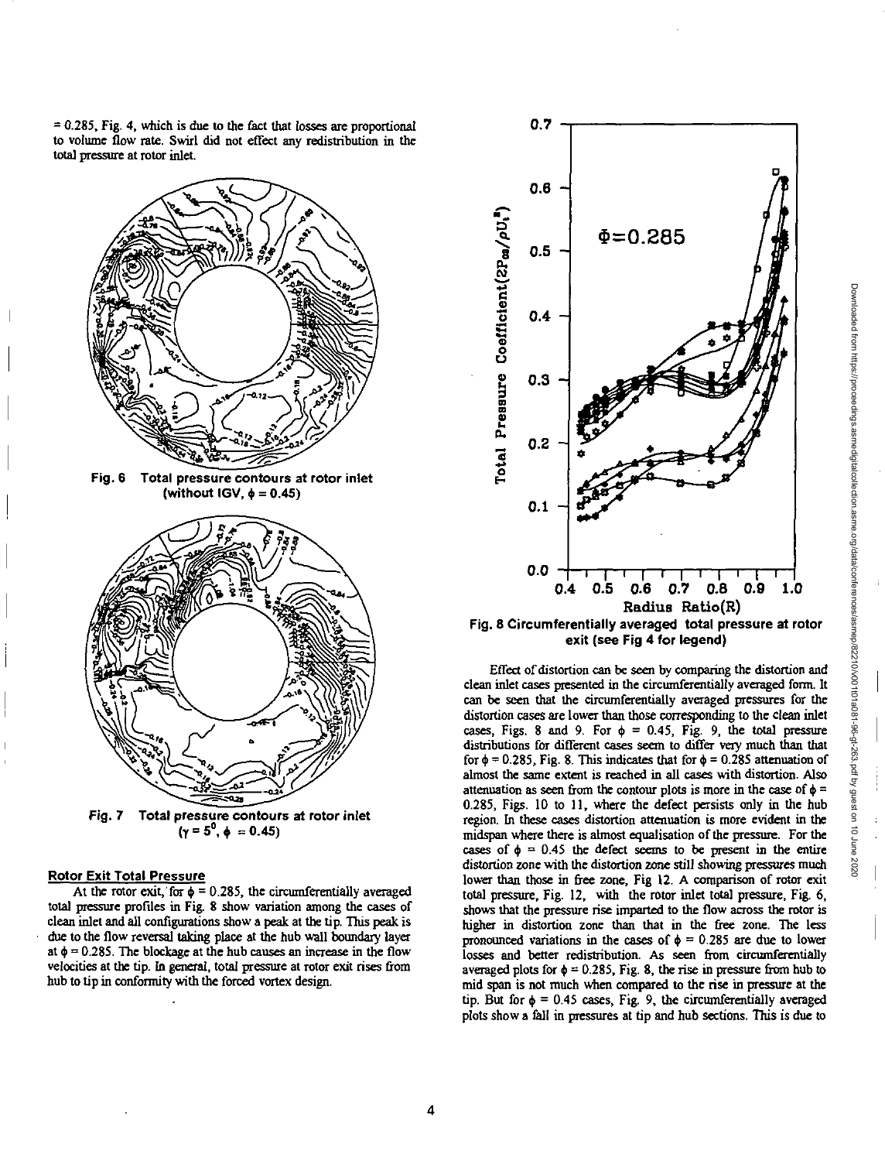= 0.285, Fig. 4, which is *due to the fact* that losses are proportional to volume flow rate. Swirl did not effect any redistribution in the total pressure at rotor inlet.



**Fig. 7** Total pressure contours at rotor inlet  $(\gamma = 5^0, \phi = 0.45)$ 

## **Rotor Exit Total Pressure**

At the rotor exit, for  $\phi = 0.285$ , the circumferentially averaged total pressure profiles in Fig. 8 show variation among the cases of clean inlet and all configurations show a peak at the tip. This peak is due to the flow reversal taking place at the hub wall boundary layer at  $\phi = 0.285$ . The blockage at the hub causes an increase in the flow velocities at the tip. In general, total pressure at rotor exit rises from hub to tip in conformity with the forced vortex design.



Effect of distortion can be seen by comparing the distortion and clean inlet cases presented in the circumferentially averaged form. It can be seen that the circumferentially averaged pressures for the distortion cases are lower than those corresponding to the clean inlet cases, Figs. 8 and 9. For  $\phi = 0.45$ , Fig. 9, the total pressure distributions for different cases seem to differ very much than that for  $\phi$  = 0.285, Fig. 8. This indicates that for  $\phi$  = 0.285 attenuation of almost the same extent is reached in all cases with distortion. Also attenuation as seen from the contour plots is more in the case of  $\phi$  = 0.285, Figs. 10 to 11, where the defect persists only in the hub region. In these cases distortion attenuation is more evident in the midspan where there is almost equalisation of the pressure. For the cases of  $\phi = 0.45$  the defect seems to be present in the entire distortion zone with the distortion zone still showing pressures much lower than those in free zone, Fig 12. A comparison of rotor exit total pressure, Fig. 12, with the rotor inlet total pressure, Fig. 6, shows that the pressure rise imparted to the flow across the rotor is higher in distortion zone than that in the free zone. The less pronounced variations in the cases of  $\phi = 0.285$  are due to lower losses and better redistribution. As seen from circumferentially averaged plots for  $\phi = 0.285$ , Fig. 8, the rise in pressure from hub to mid span is not much when compared to the rise in pressure at the tip. But for  $\phi = 0.45$  cases, Fig. 9, the circumferentially averaged plots show a fall in pressures at tip and hub sections. This is due to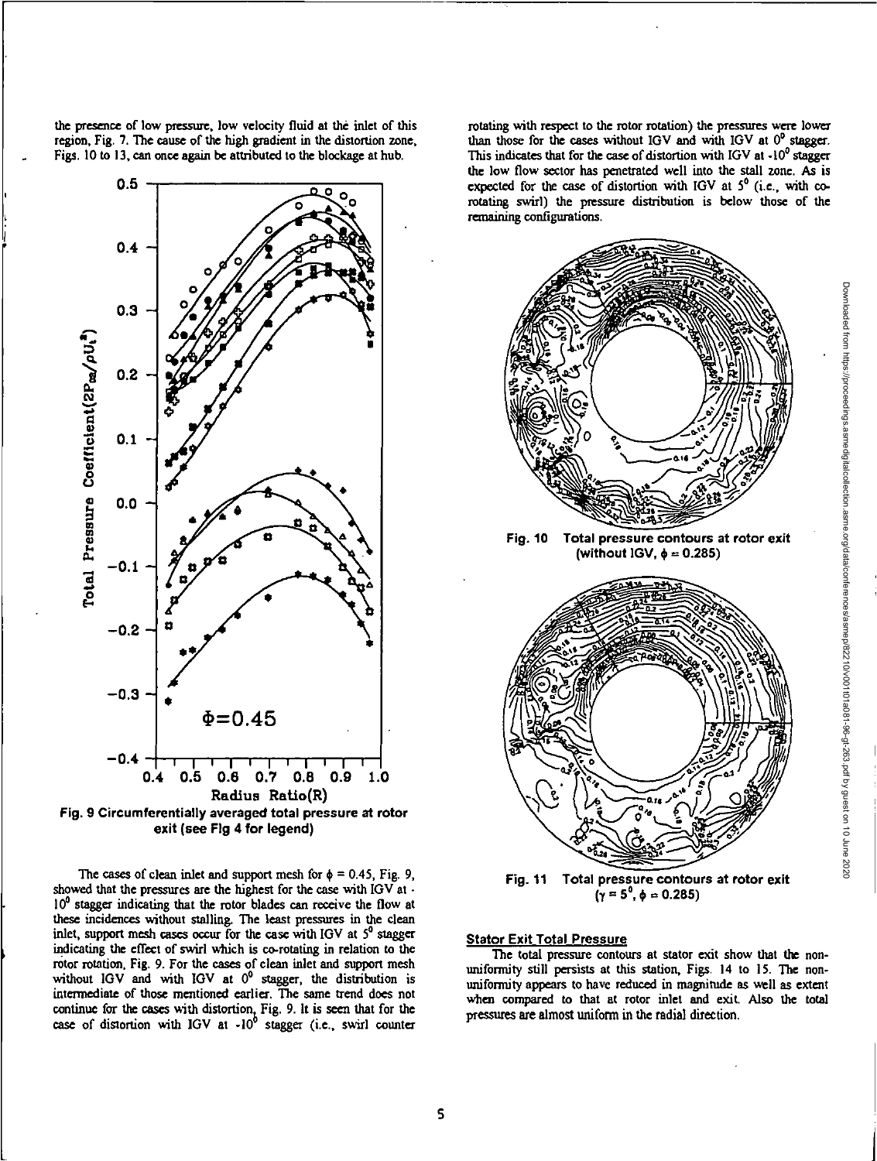the presence of low pressure, low velocity fluid at the inlet of this region. Fig. 7. The cause of the high gradient in the distortion zone, Figs. 10 to 13, can once again be attributed to the blockage at hub.



**exit (see Fig 4 for legend)** 

The cases of clean inlet and support mesh for  $\phi = 0.45$ , Fig. 9, showed that the pressures are the highest for the case with IGV at -10<sup>0</sup> stagger indicating that the rotor blades can receive the flow at these incidences without stalling. The least pressures in the clean inlet, support mesh cases occur for the case with IGV at  $5^{\circ}$  stagger indicating the effect of swirl which is co-rotating in relation to the rotor rotation, Fig. 9. For the cases of clean inlet and support mesh without IGV and with IGV at  $0^0$  stagger, the distribution is intermediate of those mentioned earlier. The same trend does not continue for the cases with distortion, Fig. 9. It is seen that for the case of distortion with IGV at  $-10^6$  stagger (i.e., swirl counter rotating with respect to the rotor rotation) the pressures were lower than those for the cases without IGV and with IGV at  $0^{\circ}$  stagger. This indicates that for the case of distortion with IGV at  $-10^9$  stagger the low flow sector has penetrated well into the stall zone. As is expected for the case of distortion with IGV at  $5^{\circ}$  (i.e., with corotating swirl) the pressure distribution is below those of the remaining configurations.





### **Stator Exit Total Pressure**

The total pressure contours at stator exit show that the nonuniformity still persists at this station, Figs. 14 to 15. The nonuniformity appears to have reduced in magnitude as well as extent when compared to that at rotor inlet and exit. Also the total pressures are almost uniform in the radial direction.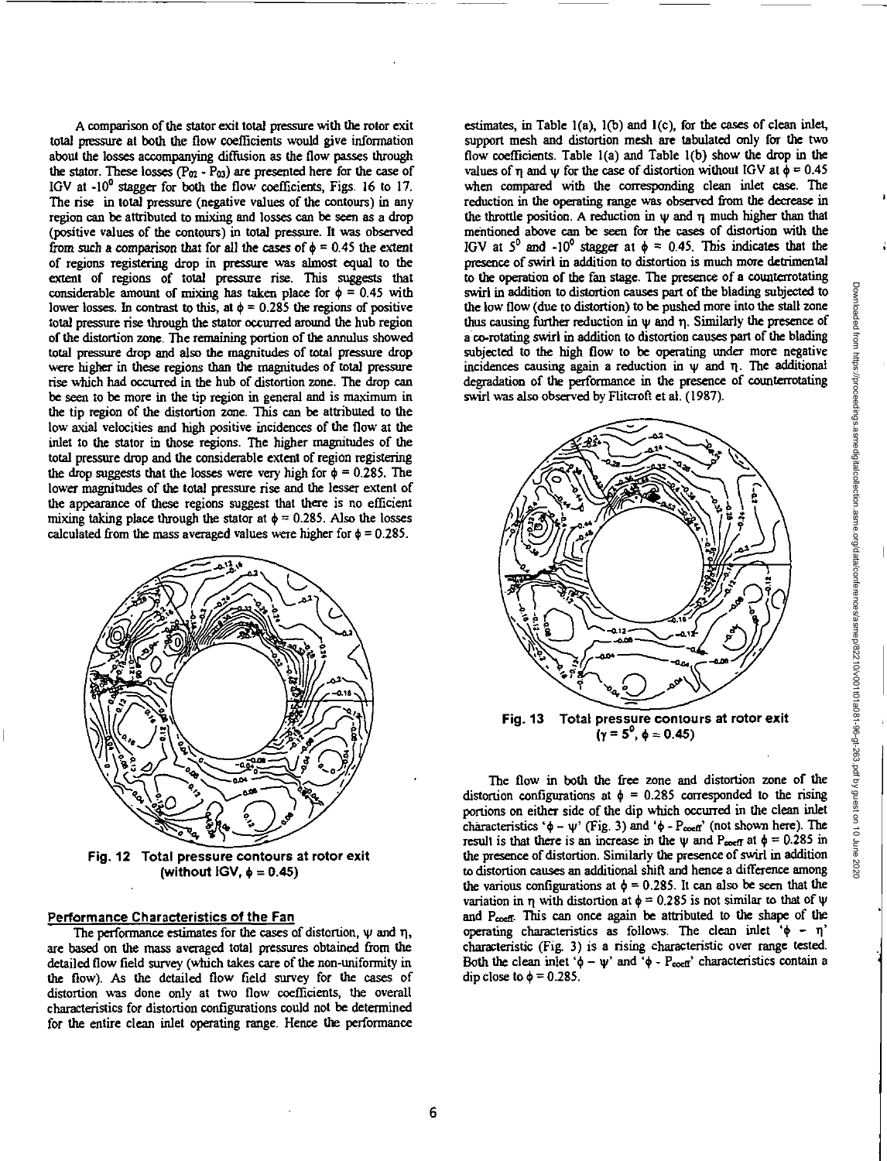A comparison of the stator exit total pressure with the rotor exit total pressure at both the flow coefficients would give information about the losses accompanying diffusion as the flow passes through the stator. These losses ( $P_{02}$  -  $P_{03}$ ) are presented here for the case of IGV at  $-10^{\circ}$  stagger for both the flow coefficients, Figs. 16 to 17. The rise in total pressure (negative values of the contours) in any region can be attributed to mixing and losses can be seen as a drop (positive values of the contours) in total pressure. It was observed from such a comparison that for all the cases of  $\phi = 0.45$  the extent of regions registering drop in pressure was almost equal to the extent of regions of total pressure rise. This suggests that considerable amount of mixing has taken place for  $\phi = 0.45$  with lower losses. In contrast to this, at  $\phi = 0.285$  the regions of positive total pressure rise through the stator occurred around the hub region of the distortion zone. The remaining portion of the annulus showed total pressure drop and also the magnitudes of total pressure drop were higher in these regions than the magnitudes of total pressure rise which had occurred in the hub of distortion zone. The drop can be seen to be more in the tip region in general and is maximum in the tip region of the distortion zone. This can be attributed to the low axial velocities and high positive incidences of the flow at the inlet to *the* stator in those regions. The higher magnitudes of the total pressure drop and the considerable extent of region registering the drop suggests that the losses were very high for  $\phi = 0.285$ . The lower magnitudes of the total pressure rise and the lesser extent of the appearance of these regions suggest that there is no efficient mixing taking place through the stator at  $\phi = 0.285$ . Also the losses calculated from the mass averaged values were higher for  $\phi = 0.285$ .



**Fig. 12 Total pressure contours at rotor exit**  (without  $IGV$ ,  $\phi = 0.45$ )

## **Performance Characteristics of the Fan**

The performance estimates for the cases of distortion,  $\psi$  and  $\eta$ , are based on the mass averaged total pressures obtained from the detailed flow field survey (which takes care of the non-unifonnity in the flow). As the detailed flow field survey for the cases of distortion was done only at two flow coefficients, the overall characteristics for distortion configurations could not be determined for the entire clean inlet operating range. Hence the performance

estimates, in Table 1(a), 1(b) and 1(c), for the cases of clean inlet, support mesh and distortion mesh are tabulated only for the two flow coefficients. Table 1(a) and Table 1(b) show the drop in the values of n and w for the case of distortion without IGV at  $\phi = 0.45$ when compared with the corresponding clean *inlet case* The reduction in the operating range was observed from the decrease in the throttle position. A reduction in  $\psi$  and  $\eta$  much higher than that mentioned above can be seen for the cases of distortion with the IGV at  $5^0$  and  $-10^0$  stagger at  $\phi = 0.45$ . This indicates that the presence of swirl in addition to distortion is much more detrimental to the operation of the fan stage. The presence of a counterrotating swirl in addition to distortion causes part of the blading subjected to the low flow (due to distortion) to be pushed more into the stall zone thus causing further reduction in w and q. Similarly the presence of a co-rotating swirl in addition to distortion causes part of the blading subjected to the high flow to be operating under more negative incidences causing again a reduction in  $\psi$  and  $\eta$ . The additional degradation of the performance in the presence of counterrotating swirl was also observed by Flitcroft etal. (1987).



**Fig. 13 Total pressure contours at rotor exit**   $(y = 5^0, \phi = 0.45)$ 

The flow in both the free zone and distortion zone of the distortion configurations at  $\phi = 0.285$  corresponded to the rising portions on either side of the dip which occurred in the clean inlet characteristics ' $\phi - \psi$ ' (Fig. 3) and ' $\phi$  - P<sub>coeff</sub>' (not shown here). The result is that there is an increase in the  $\psi$  and P<sub>coeff</sub> at  $\phi = 0.285$  in the presence of distortion. Similarly the presence of swirl in addition to distortion causes an additional shift and hence a difference among the various configurations at  $\phi = 0.285$ . It can also be seen that the variation in  $\eta$  with distortion at  $\phi = 0.285$  is not similar to that of  $\psi$ and  $P_{\text{coeff}}$ . This can once again be attributed to the shape of the operating characteristics as follows. The clean inlet ' $\phi - \eta$ ' characteristic (Fig. 3) is a rising characteristic over range tested. Both the clean inlet ' $\phi - \psi$ ' and ' $\phi$  - P<sub>oeff</sub>' characteristics contain a dip close to  $\phi = 0.285$ .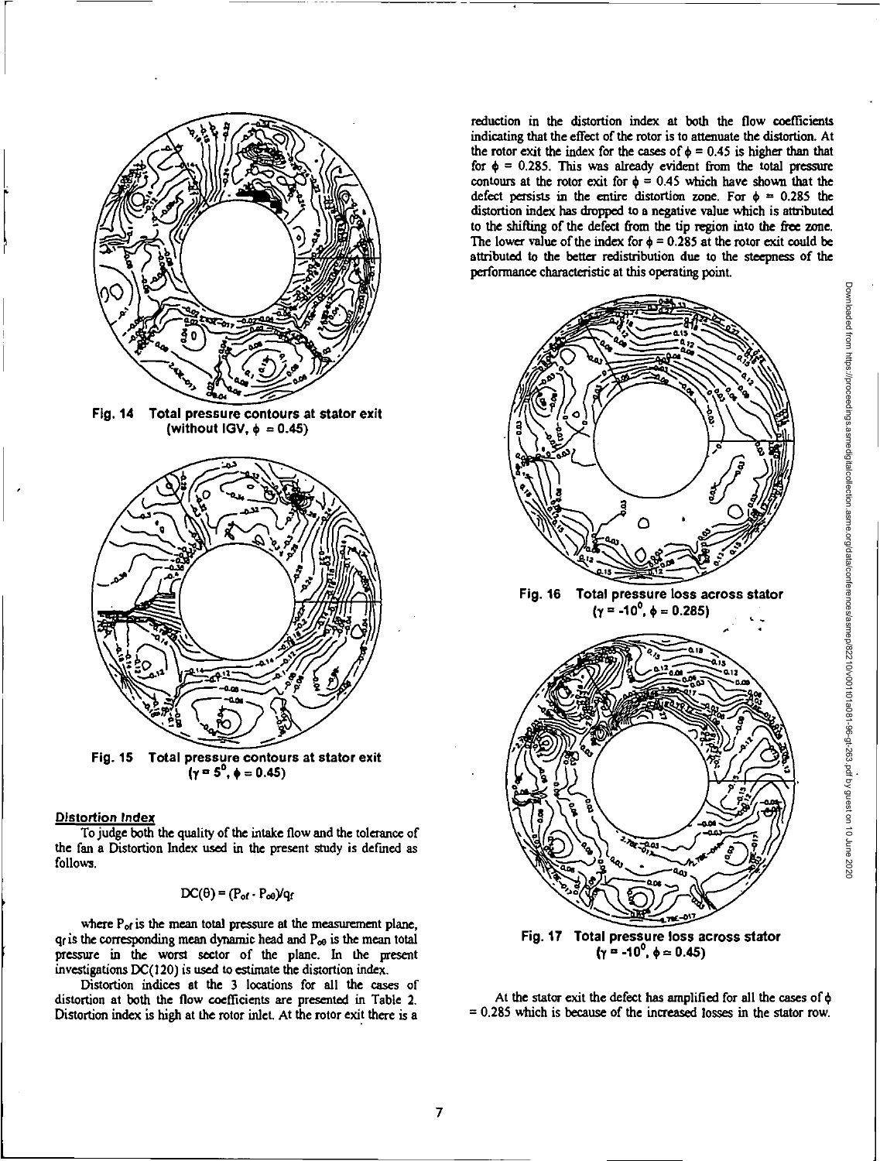

**Fig. 14 Total pressure contours at stator exit**  (without IGV,  $\phi = 0.45$ )



 $\bf{r}$  ( $\bf{y} = 5^{\circ}, \bf{4} = 0.45$ )

## **Distortion** *Index*

To judge both the quality of the intake flow and the tolerance of the fan a Distortion Index used in the present study is defined as follows.

$$
DC(\theta) = (P_{of} \cdot P_{od})/q_f
$$

where  $P_{of}$  is the mean total pressure at the measurement plane,  $q_f$  is the corresponding mean dynamic head and  $P_{\infty}$  is the mean total pressure in the worst sector of the plane. In the present investigations DC(120) is used to estimate the distortion index.

Distortion indices at the 3 locations for all the cases of distortion at both the flow coefficients are presented in Table 2. Distortion index is high at the rotor inlet. At the rotor exit there is a

reduction in the distortion index at both the flow coefficients indicating that the effect of the rotor is to attenuate the distortion. At the rotor exit the index for the cases of  $\phi = 0.45$  is higher than that for  $\phi = 0.285$ . This was already evident from the total pressure contours at the rotor exit for  $\phi = 0.45$  which have shown that the defect persists in the entire distortion zone. For  $\phi = 0.285$  the distortion index has dropped to a negative value which is attributed to the shifting of the defect from the tip region into the free zone. The lower value of the index for  $\phi = 0.285$  at the rotor exit could be attributed to the better redistribution due to the steepness of the performance characteristic at this operating point.



At the stator exit the defect has amplified for all the cases of  $\phi$  $= 0.285$  which is because of the increased losses in the stator row.